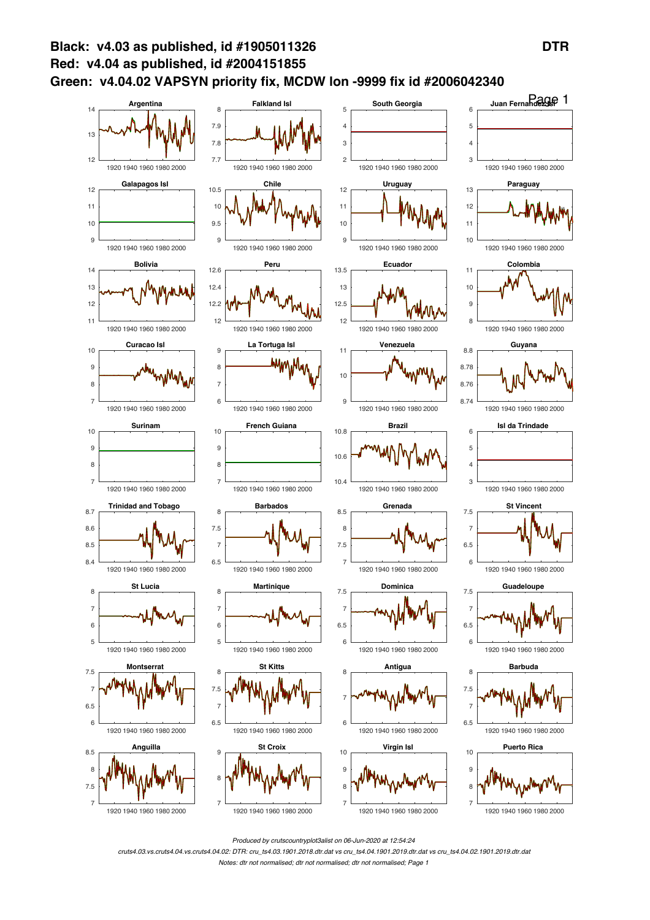

*Produced by crutscountryplot3alist on 06-Jun-2020 at 12:54:24*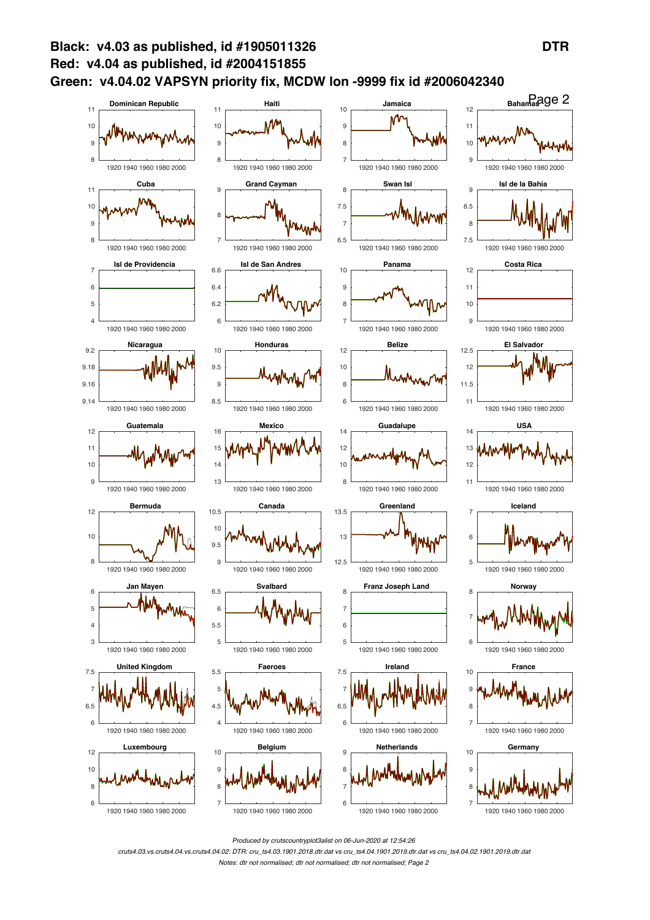

*Produced by crutscountryplot3alist on 06-Jun-2020 at 12:54:26*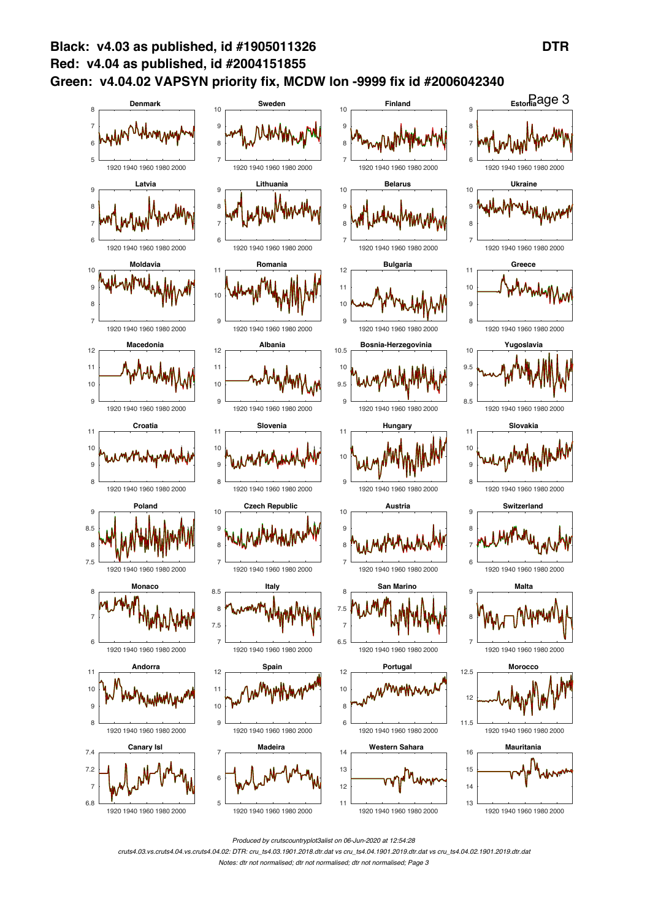

*Produced by crutscountryplot3alist on 06-Jun-2020 at 12:54:28*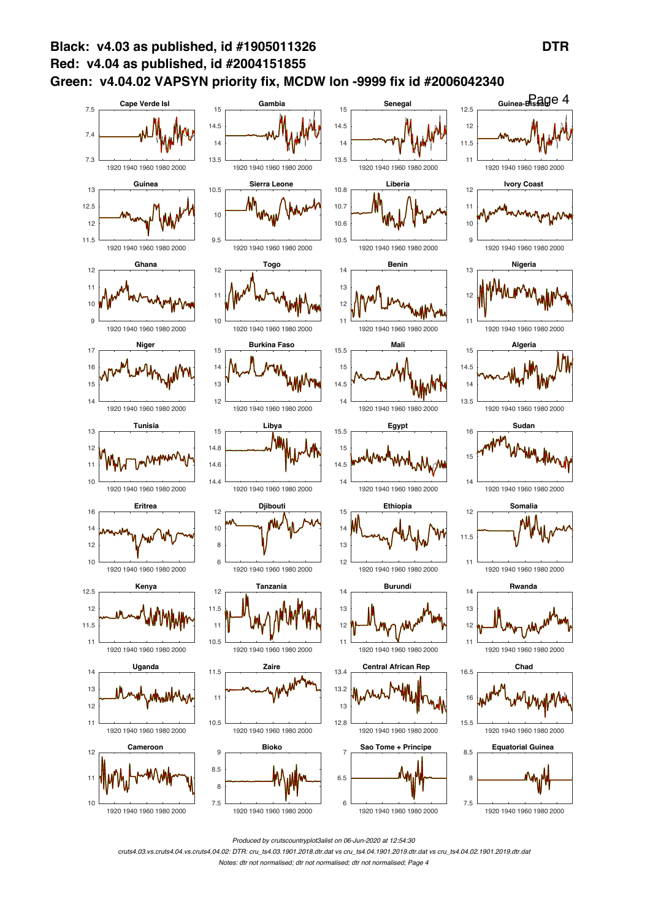

*Produced by crutscountryplot3alist on 06-Jun-2020 at 12:54:30*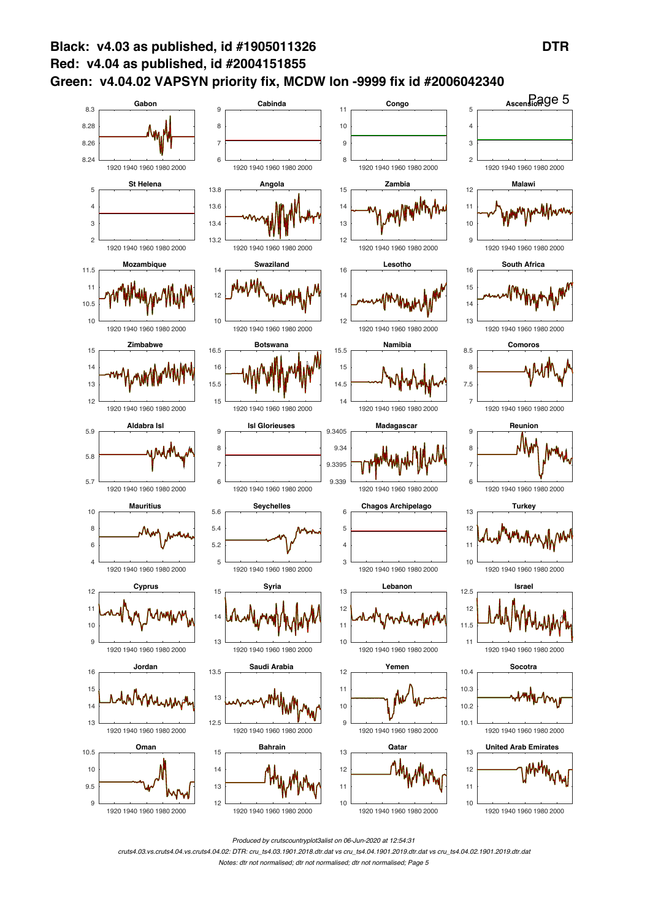

*Produced by crutscountryplot3alist on 06-Jun-2020 at 12:54:31*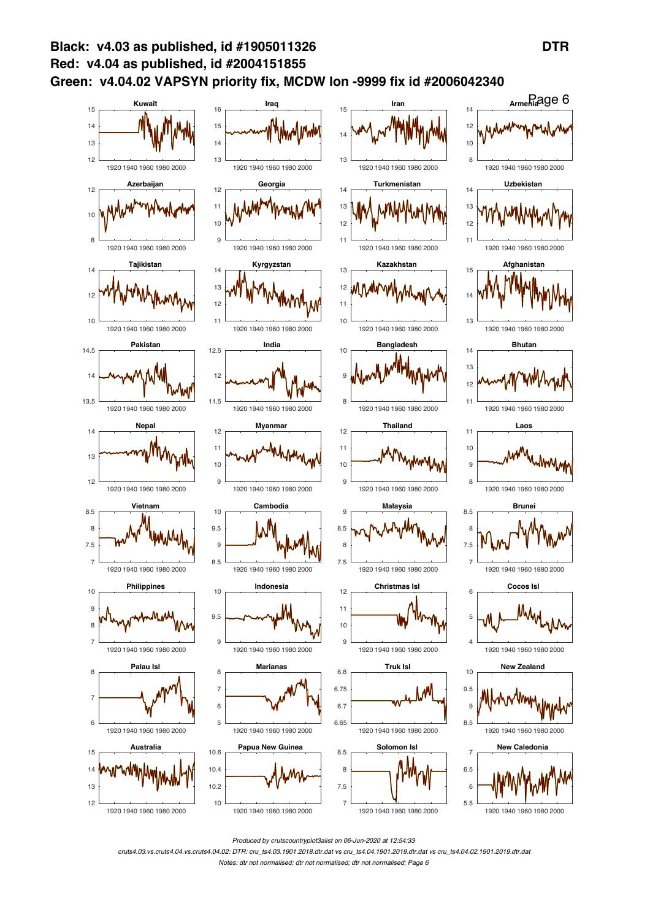

*Produced by crutscountryplot3alist on 06-Jun-2020 at 12:54:33*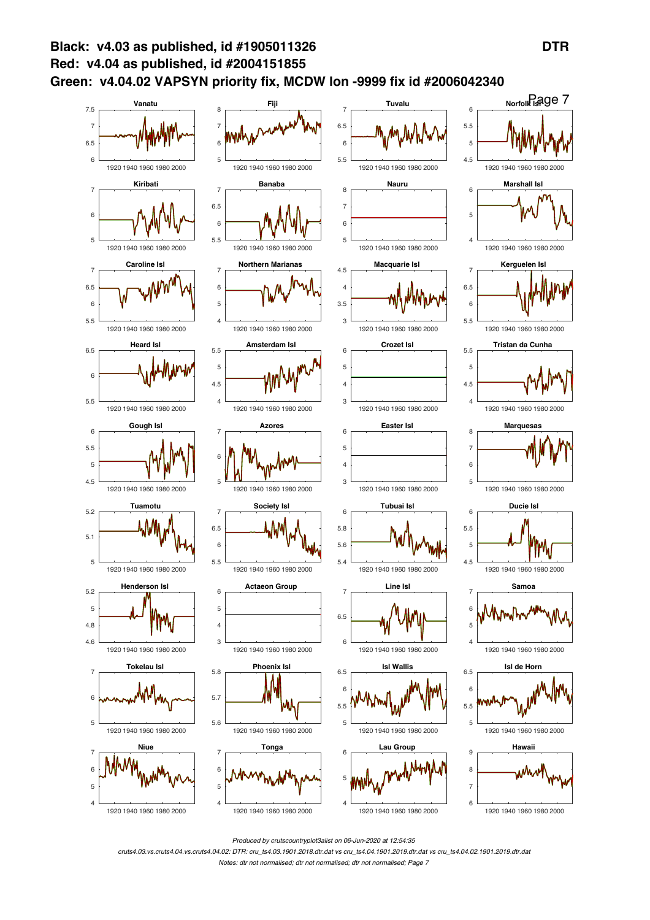

*Produced by crutscountryplot3alist on 06-Jun-2020 at 12:54:35*